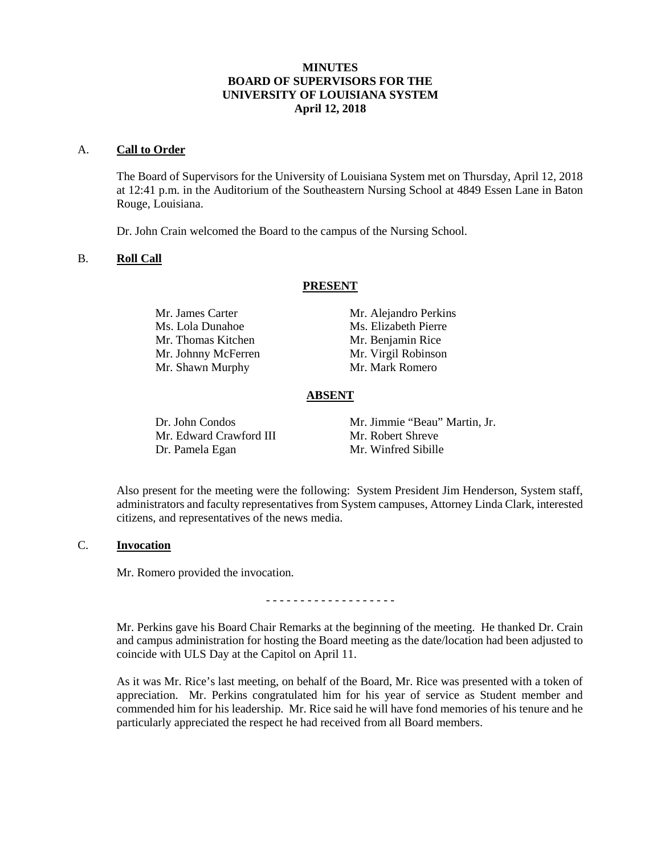# **MINUTES BOARD OF SUPERVISORS FOR THE UNIVERSITY OF LOUISIANA SYSTEM April 12, 2018**

#### A. **Call to Order**

The Board of Supervisors for the University of Louisiana System met on Thursday, April 12, 2018 at 12:41 p.m. in the Auditorium of the Southeastern Nursing School at 4849 Essen Lane in Baton Rouge, Louisiana.

Dr. John Crain welcomed the Board to the campus of the Nursing School.

### B. **Roll Call**

#### **PRESENT**

| Mr. James Carter    | Mr. Alejandro Perkins |
|---------------------|-----------------------|
| Ms. Lola Dunahoe    | Ms. Elizabeth Pierre  |
| Mr. Thomas Kitchen  | Mr. Benjamin Rice     |
| Mr. Johnny McFerren | Mr. Virgil Robinson   |
| Mr. Shawn Murphy    | Mr. Mark Romero       |

#### **ABSENT**

| Dr. John Condos         | Mr. Jimmie "Beau" Martin, Jr. |
|-------------------------|-------------------------------|
| Mr. Edward Crawford III | Mr. Robert Shreve             |
| Dr. Pamela Egan         | Mr. Winfred Sibille           |

Also present for the meeting were the following: System President Jim Henderson, System staff, administrators and faculty representatives from System campuses, Attorney Linda Clark, interested citizens, and representatives of the news media.

#### C. **Invocation**

Mr. Romero provided the invocation.

- - - - - - - - - - - - - - - - - - -

Mr. Perkins gave his Board Chair Remarks at the beginning of the meeting. He thanked Dr. Crain and campus administration for hosting the Board meeting as the date/location had been adjusted to coincide with ULS Day at the Capitol on April 11.

As it was Mr. Rice's last meeting, on behalf of the Board, Mr. Rice was presented with a token of appreciation. Mr. Perkins congratulated him for his year of service as Student member and commended him for his leadership. Mr. Rice said he will have fond memories of his tenure and he particularly appreciated the respect he had received from all Board members.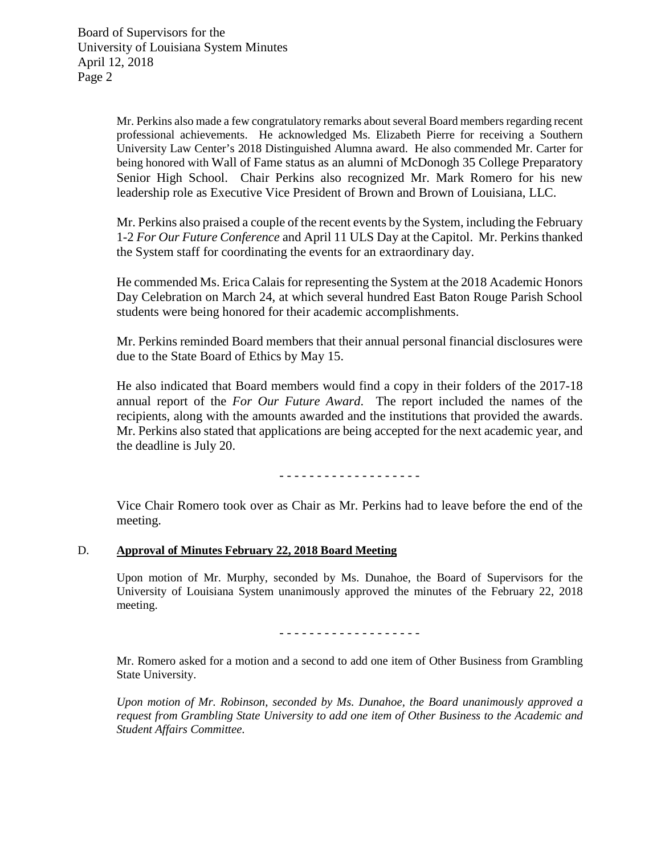Mr. Perkins also made a few congratulatory remarks about several Board members regarding recent professional achievements. He acknowledged Ms. Elizabeth Pierre for receiving a Southern University Law Center's 2018 Distinguished Alumna award. He also commended Mr. Carter for being honored with Wall of Fame status as an alumni of McDonogh 35 College Preparatory Senior High School. Chair Perkins also recognized Mr. Mark Romero for his new leadership role as Executive Vice President of Brown and Brown of Louisiana, LLC.

Mr. Perkins also praised a couple of the recent events by the System, including the February 1-2 *For Our Future Conference* and April 11 ULS Day at the Capitol. Mr. Perkins thanked the System staff for coordinating the events for an extraordinary day.

He commended Ms. Erica Calais for representing the System at the 2018 Academic Honors Day Celebration on March 24, at which several hundred East Baton Rouge Parish School students were being honored for their academic accomplishments.

Mr. Perkins reminded Board members that their annual personal financial disclosures were due to the State Board of Ethics by May 15.

He also indicated that Board members would find a copy in their folders of the 2017-18 annual report of the *For Our Future Award*. The report included the names of the recipients, along with the amounts awarded and the institutions that provided the awards. Mr. Perkins also stated that applications are being accepted for the next academic year, and the deadline is July 20.

- - - - - - - - - - - - - - - - - - -

Vice Chair Romero took over as Chair as Mr. Perkins had to leave before the end of the meeting.

# D. **Approval of Minutes February 22, 2018 Board Meeting**

Upon motion of Mr. Murphy, seconded by Ms. Dunahoe, the Board of Supervisors for the University of Louisiana System unanimously approved the minutes of the February 22, 2018 meeting.

- - - - - - - - - - - - - - - - - - -

Mr. Romero asked for a motion and a second to add one item of Other Business from Grambling State University.

*Upon motion of Mr. Robinson, seconded by Ms. Dunahoe, the Board unanimously approved a request from Grambling State University to add one item of Other Business to the Academic and Student Affairs Committee.*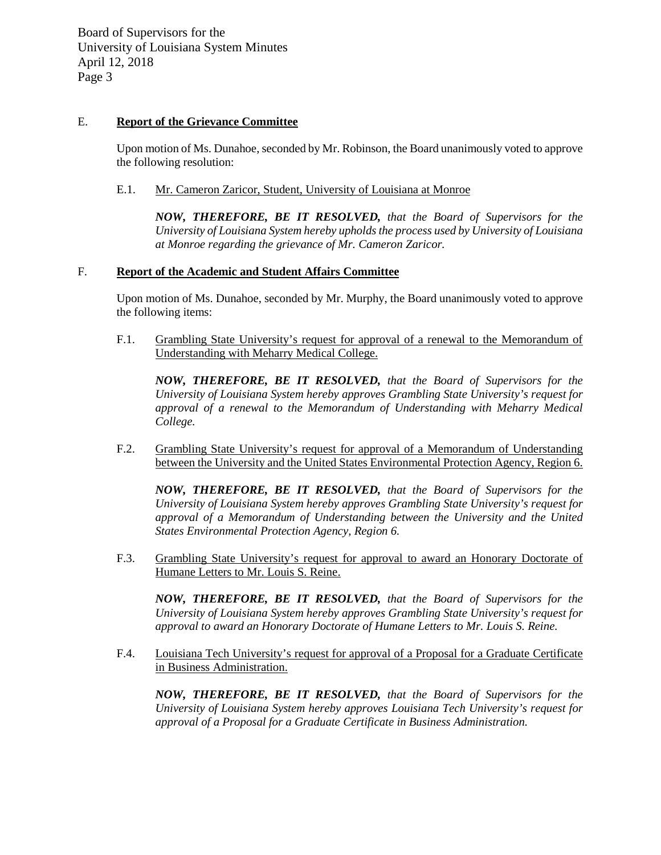# E. **Report of the Grievance Committee**

Upon motion of Ms. Dunahoe, seconded by Mr. Robinson, the Board unanimously voted to approve the following resolution:

## E.1. Mr. Cameron Zaricor, Student, University of Louisiana at Monroe

*NOW, THEREFORE, BE IT RESOLVED, that the Board of Supervisors for the University of Louisiana System hereby upholds the process used by University of Louisiana at Monroe regarding the grievance of Mr. Cameron Zaricor.*

#### F. **Report of the Academic and Student Affairs Committee**

Upon motion of Ms. Dunahoe, seconded by Mr. Murphy, the Board unanimously voted to approve the following items:

F.1. Grambling State University's request for approval of a renewal to the Memorandum of Understanding with Meharry Medical College.

*NOW, THEREFORE, BE IT RESOLVED, that the Board of Supervisors for the University of Louisiana System hereby approves Grambling State University's request for approval of a renewal to the Memorandum of Understanding with Meharry Medical College.* 

F.2. Grambling State University's request for approval of a Memorandum of Understanding between the University and the United States Environmental Protection Agency, Region 6.

*NOW, THEREFORE, BE IT RESOLVED, that the Board of Supervisors for the University of Louisiana System hereby approves Grambling State University's request for approval of a Memorandum of Understanding between the University and the United States Environmental Protection Agency, Region 6.* 

F.3. Grambling State University's request for approval to award an Honorary Doctorate of Humane Letters to Mr. Louis S. Reine.

*NOW, THEREFORE, BE IT RESOLVED, that the Board of Supervisors for the University of Louisiana System hereby approves Grambling State University's request for approval to award an Honorary Doctorate of Humane Letters to Mr. Louis S. Reine.*

F.4. Louisiana Tech University's request for approval of a Proposal for a Graduate Certificate in Business Administration.

*NOW, THEREFORE, BE IT RESOLVED, that the Board of Supervisors for the University of Louisiana System hereby approves Louisiana Tech University's request for approval of a Proposal for a Graduate Certificate in Business Administration.*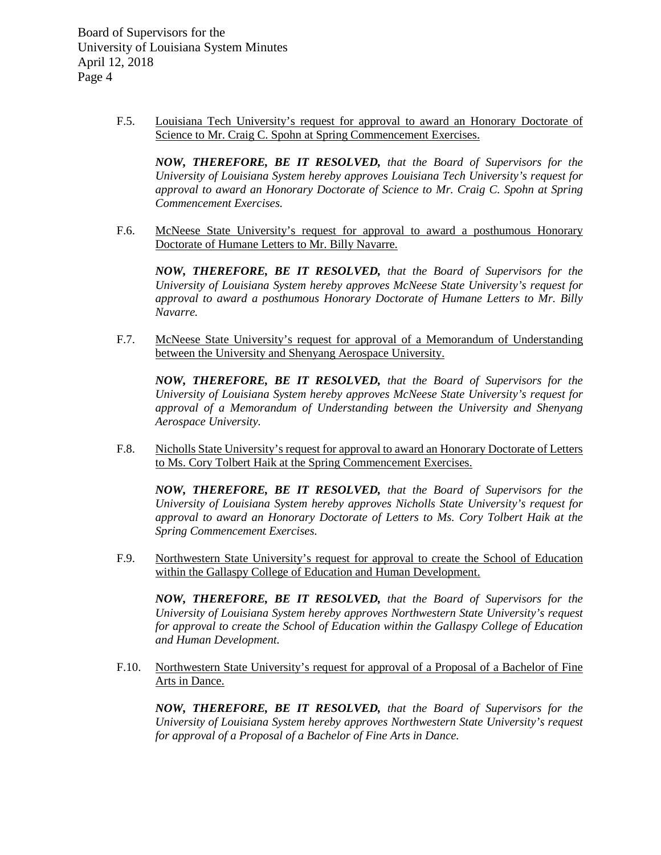> F.5. Louisiana Tech University's request for approval to award an Honorary Doctorate of Science to Mr. Craig C. Spohn at Spring Commencement Exercises.

*NOW, THEREFORE, BE IT RESOLVED, that the Board of Supervisors for the University of Louisiana System hereby approves Louisiana Tech University's request for approval to award an Honorary Doctorate of Science to Mr. Craig C. Spohn at Spring Commencement Exercises.*

F.6. McNeese State University's request for approval to award a posthumous Honorary Doctorate of Humane Letters to Mr. Billy Navarre*.*

*NOW, THEREFORE, BE IT RESOLVED, that the Board of Supervisors for the University of Louisiana System hereby approves McNeese State University's request for approval to award a posthumous Honorary Doctorate of Humane Letters to Mr. Billy Navarre.*

F.7. McNeese State University's request for approval of a Memorandum of Understanding between the University and Shenyang Aerospace University.

*NOW, THEREFORE, BE IT RESOLVED, that the Board of Supervisors for the University of Louisiana System hereby approves McNeese State University's request for approval of a Memorandum of Understanding between the University and Shenyang Aerospace University.* 

F.8. Nicholls State University's request for approval to award an Honorary Doctorate of Letters to Ms. Cory Tolbert Haik at the Spring Commencement Exercises.

*NOW, THEREFORE, BE IT RESOLVED, that the Board of Supervisors for the University of Louisiana System hereby approves Nicholls State University's request for approval to award an Honorary Doctorate of Letters to Ms. Cory Tolbert Haik at the Spring Commencement Exercises.*

F.9. Northwestern State University's request for approval to create the School of Education within the Gallaspy College of Education and Human Development.

*NOW, THEREFORE, BE IT RESOLVED, that the Board of Supervisors for the University of Louisiana System hereby approves Northwestern State University's request for approval to create the School of Education within the Gallaspy College of Education and Human Development.*

F.10. Northwestern State University's request for approval of a Proposal of a Bachelor of Fine Arts in Dance.

*NOW, THEREFORE, BE IT RESOLVED, that the Board of Supervisors for the University of Louisiana System hereby approves Northwestern State University's request for approval of a Proposal of a Bachelor of Fine Arts in Dance.*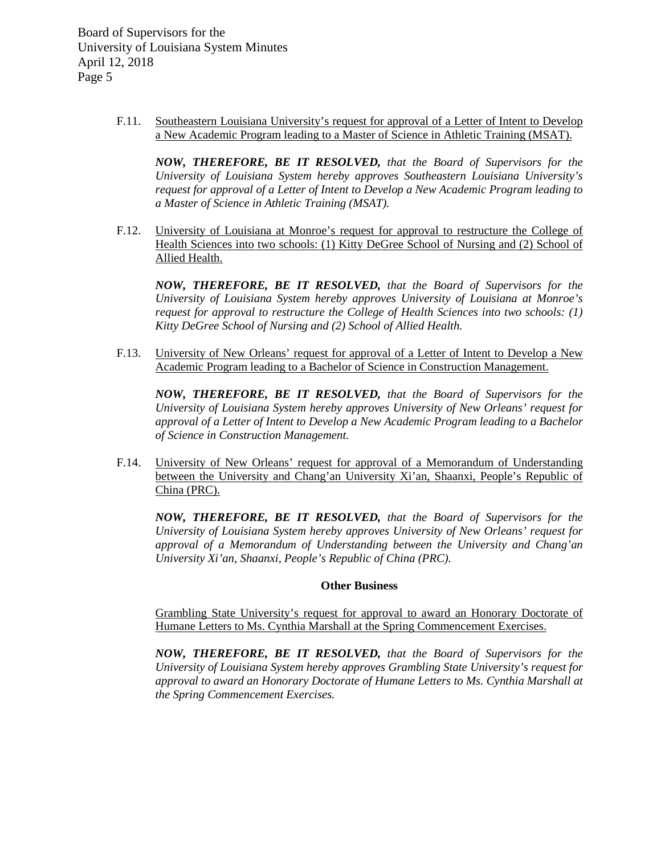> F.11. Southeastern Louisiana University's request for approval of a Letter of Intent to Develop a New Academic Program leading to a Master of Science in Athletic Training (MSAT).

*NOW, THEREFORE, BE IT RESOLVED, that the Board of Supervisors for the University of Louisiana System hereby approves Southeastern Louisiana University's request for approval of a Letter of Intent to Develop a New Academic Program leading to a Master of Science in Athletic Training (MSAT).*

F.12. University of Louisiana at Monroe's request for approval to restructure the College of Health Sciences into two schools: (1) Kitty DeGree School of Nursing and (2) School of Allied Health.

*NOW, THEREFORE, BE IT RESOLVED, that the Board of Supervisors for the University of Louisiana System hereby approves University of Louisiana at Monroe's request for approval to restructure the College of Health Sciences into two schools: (1) Kitty DeGree School of Nursing and (2) School of Allied Health.*

F.13. University of New Orleans' request for approval of a Letter of Intent to Develop a New Academic Program leading to a Bachelor of Science in Construction Management.

*NOW, THEREFORE, BE IT RESOLVED, that the Board of Supervisors for the University of Louisiana System hereby approves University of New Orleans' request for approval of a Letter of Intent to Develop a New Academic Program leading to a Bachelor of Science in Construction Management.*

F.14. University of New Orleans' request for approval of a Memorandum of Understanding between the University and Chang'an University Xi'an, Shaanxi, People's Republic of China (PRC).

*NOW, THEREFORE, BE IT RESOLVED, that the Board of Supervisors for the University of Louisiana System hereby approves University of New Orleans' request for approval of a Memorandum of Understanding between the University and Chang'an University Xi'an, Shaanxi, People's Republic of China (PRC).* 

#### **Other Business**

Grambling State University's request for approval to award an Honorary Doctorate of Humane Letters to Ms. Cynthia Marshall at the Spring Commencement Exercises.

*NOW, THEREFORE, BE IT RESOLVED, that the Board of Supervisors for the University of Louisiana System hereby approves Grambling State University's request for approval to award an Honorary Doctorate of Humane Letters to Ms. Cynthia Marshall at the Spring Commencement Exercises.*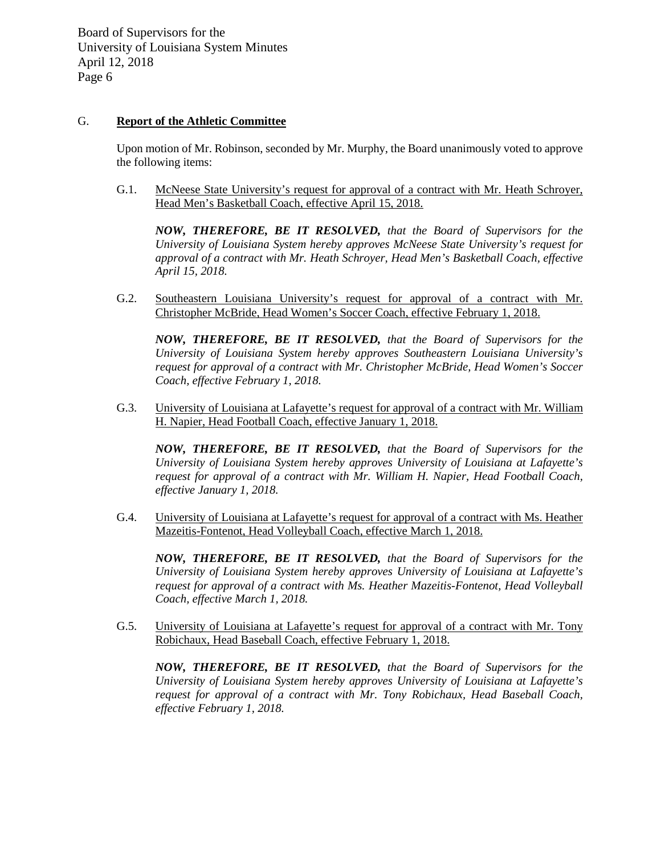# G. **Report of the Athletic Committee**

Upon motion of Mr. Robinson, seconded by Mr. Murphy, the Board unanimously voted to approve the following items:

G.1. McNeese State University's request for approval of a contract with Mr. Heath Schroyer, Head Men's Basketball Coach, effective April 15, 2018.

*NOW, THEREFORE, BE IT RESOLVED, that the Board of Supervisors for the University of Louisiana System hereby approves McNeese State University's request for approval of a contract with Mr. Heath Schroyer, Head Men's Basketball Coach, effective April 15, 2018.*

G.2. Southeastern Louisiana University's request for approval of a contract with Mr. Christopher McBride, Head Women's Soccer Coach, effective February 1, 2018.

*NOW, THEREFORE, BE IT RESOLVED, that the Board of Supervisors for the University of Louisiana System hereby approves Southeastern Louisiana University's request for approval of a contract with Mr. Christopher McBride, Head Women's Soccer Coach, effective February 1, 2018.*

G.3. University of Louisiana at Lafayette's request for approval of a contract with Mr. William H. Napier, Head Football Coach, effective January 1, 2018.

*NOW, THEREFORE, BE IT RESOLVED, that the Board of Supervisors for the University of Louisiana System hereby approves University of Louisiana at Lafayette's request for approval of a contract with Mr. William H. Napier, Head Football Coach, effective January 1, 2018.*

G.4. University of Louisiana at Lafayette's request for approval of a contract with Ms. Heather Mazeitis-Fontenot, Head Volleyball Coach, effective March 1, 2018.

*NOW, THEREFORE, BE IT RESOLVED, that the Board of Supervisors for the University of Louisiana System hereby approves University of Louisiana at Lafayette's request for approval of a contract with Ms. Heather Mazeitis-Fontenot, Head Volleyball Coach, effective March 1, 2018.*

G.5. University of Louisiana at Lafayette's request for approval of a contract with Mr. Tony Robichaux, Head Baseball Coach, effective February 1, 2018.

*NOW, THEREFORE, BE IT RESOLVED, that the Board of Supervisors for the University of Louisiana System hereby approves University of Louisiana at Lafayette's request for approval of a contract with Mr. Tony Robichaux, Head Baseball Coach, effective February 1, 2018.*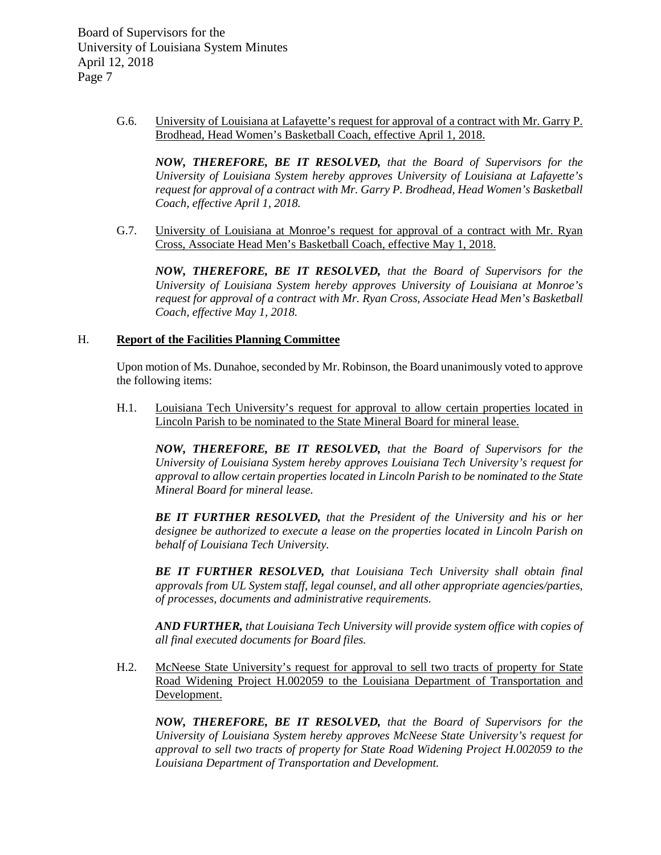> G.6. University of Louisiana at Lafayette's request for approval of a contract with Mr. Garry P. Brodhead, Head Women's Basketball Coach, effective April 1, 2018.

*NOW, THEREFORE, BE IT RESOLVED, that the Board of Supervisors for the University of Louisiana System hereby approves University of Louisiana at Lafayette's request for approval of a contract with Mr. Garry P. Brodhead, Head Women's Basketball Coach, effective April 1, 2018.*

G.7. University of Louisiana at Monroe's request for approval of a contract with Mr. Ryan Cross, Associate Head Men's Basketball Coach, effective May 1, 2018.

*NOW, THEREFORE, BE IT RESOLVED, that the Board of Supervisors for the University of Louisiana System hereby approves University of Louisiana at Monroe's request for approval of a contract with Mr. Ryan Cross, Associate Head Men's Basketball Coach, effective May 1, 2018.*

#### H. **Report of the Facilities Planning Committee**

Upon motion of Ms. Dunahoe, seconded by Mr. Robinson, the Board unanimously voted to approve the following items:

H.1. Louisiana Tech University's request for approval to allow certain properties located in Lincoln Parish to be nominated to the State Mineral Board for mineral lease.

*NOW, THEREFORE, BE IT RESOLVED, that the Board of Supervisors for the University of Louisiana System hereby approves Louisiana Tech University's request for approval to allow certain properties located in Lincoln Parish to be nominated to the State Mineral Board for mineral lease.* 

*BE IT FURTHER RESOLVED, that the President of the University and his or her designee be authorized to execute a lease on the properties located in Lincoln Parish on behalf of Louisiana Tech University.*

*BE IT FURTHER RESOLVED, that Louisiana Tech University shall obtain final approvals from UL System staff, legal counsel, and all other appropriate agencies/parties, of processes, documents and administrative requirements.*

*AND FURTHER, that Louisiana Tech University will provide system office with copies of all final executed documents for Board files.* 

H.2. McNeese State University's request for approval to sell two tracts of property for State Road Widening Project H.002059 to the Louisiana Department of Transportation and Development.

*NOW, THEREFORE, BE IT RESOLVED, that the Board of Supervisors for the University of Louisiana System hereby approves McNeese State University's request for approval to sell two tracts of property for State Road Widening Project H.002059 to the Louisiana Department of Transportation and Development.*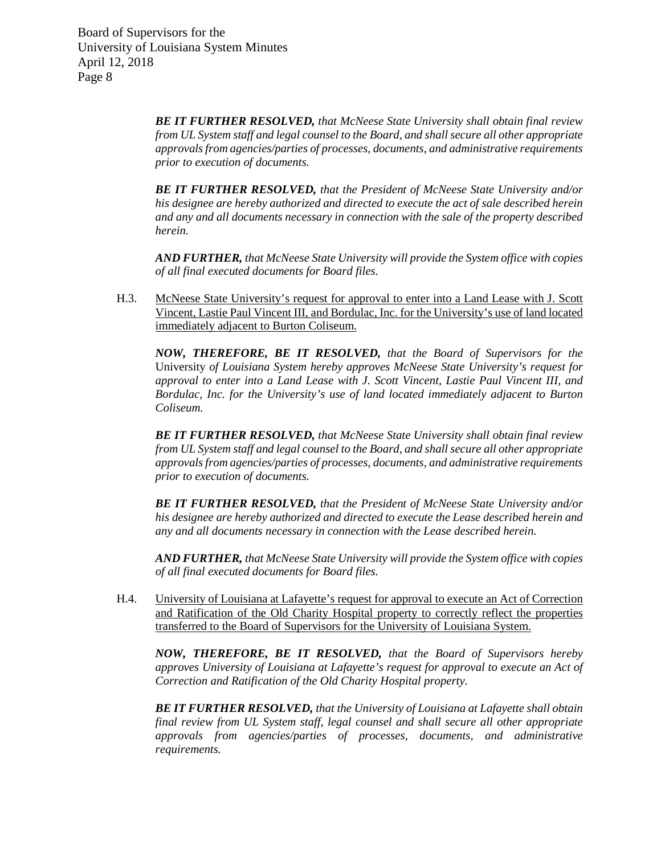> *BE IT FURTHER RESOLVED, that McNeese State University shall obtain final review from UL System staff and legal counsel to the Board, and shall secure all other appropriate approvals from agencies/parties of processes, documents, and administrative requirements prior to execution of documents.*

> *BE IT FURTHER RESOLVED, that the President of McNeese State University and/or his designee are hereby authorized and directed to execute the act of sale described herein and any and all documents necessary in connection with the sale of the property described herein.*

> *AND FURTHER, that McNeese State University will provide the System office with copies of all final executed documents for Board files.*

H.3. McNeese State University's request for approval to enter into a Land Lease with J. Scott Vincent, Lastie Paul Vincent III, and Bordulac, Inc. for the University's use of land located immediately adjacent to Burton Coliseum.

*NOW, THEREFORE, BE IT RESOLVED, that the Board of Supervisors for the*  University *of Louisiana System hereby approves McNeese State University's request for approval to enter into a Land Lease with J. Scott Vincent, Lastie Paul Vincent III, and Bordulac, Inc. for the University's use of land located immediately adjacent to Burton Coliseum.*

*BE IT FURTHER RESOLVED, that McNeese State University shall obtain final review from UL System staff and legal counsel to the Board, and shall secure all other appropriate approvals from agencies/parties of processes, documents, and administrative requirements prior to execution of documents.*

*BE IT FURTHER RESOLVED, that the President of McNeese State University and/or his designee are hereby authorized and directed to execute the Lease described herein and any and all documents necessary in connection with the Lease described herein.*

*AND FURTHER, that McNeese State University will provide the System office with copies of all final executed documents for Board files.*

H.4. University of Louisiana at Lafayette's request for approval to execute an Act of Correction and Ratification of the Old Charity Hospital property to correctly reflect the properties transferred to the Board of Supervisors for the University of Louisiana System.

*NOW, THEREFORE, BE IT RESOLVED, that the Board of Supervisors hereby approves University of Louisiana at Lafayette's request for approval to execute an Act of Correction and Ratification of the Old Charity Hospital property.*

*BE IT FURTHER RESOLVED, that the University of Louisiana at Lafayette shall obtain final review from UL System staff, legal counsel and shall secure all other appropriate approvals from agencies/parties of processes, documents, and administrative requirements.*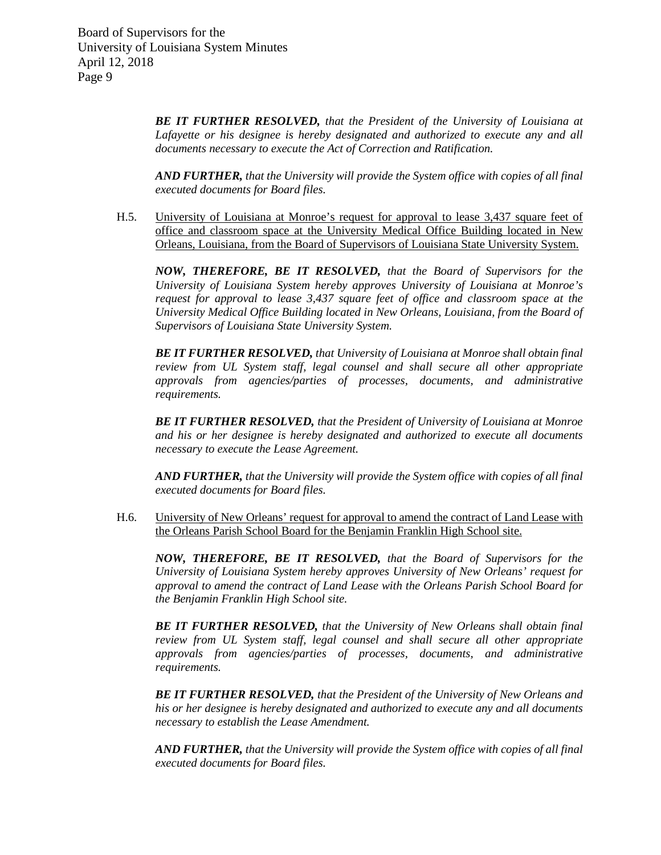> *BE IT FURTHER RESOLVED, that the President of the University of Louisiana at Lafayette or his designee is hereby designated and authorized to execute any and all documents necessary to execute the Act of Correction and Ratification.*

> *AND FURTHER, that the University will provide the System office with copies of all final executed documents for Board files.*

H.5. University of Louisiana at Monroe's request for approval to lease 3,437 square feet of office and classroom space at the University Medical Office Building located in New Orleans, Louisiana, from the Board of Supervisors of Louisiana State University System.

*NOW, THEREFORE, BE IT RESOLVED, that the Board of Supervisors for the University of Louisiana System hereby approves University of Louisiana at Monroe's request for approval to lease 3,437 square feet of office and classroom space at the University Medical Office Building located in New Orleans, Louisiana, from the Board of Supervisors of Louisiana State University System.*

*BE IT FURTHER RESOLVED, that University of Louisiana at Monroe shall obtain final review from UL System staff, legal counsel and shall secure all other appropriate approvals from agencies/parties of processes, documents, and administrative requirements.*

*BE IT FURTHER RESOLVED, that the President of University of Louisiana at Monroe and his or her designee is hereby designated and authorized to execute all documents necessary to execute the Lease Agreement.*

*AND FURTHER, that the University will provide the System office with copies of all final executed documents for Board files.* 

H.6. University of New Orleans' request for approval to amend the contract of Land Lease with the Orleans Parish School Board for the Benjamin Franklin High School site.

*NOW, THEREFORE, BE IT RESOLVED, that the Board of Supervisors for the University of Louisiana System hereby approves University of New Orleans' request for approval to amend the contract of Land Lease with the Orleans Parish School Board for the Benjamin Franklin High School site.* 

*BE IT FURTHER RESOLVED, that the University of New Orleans shall obtain final review from UL System staff, legal counsel and shall secure all other appropriate approvals from agencies/parties of processes, documents, and administrative requirements.*

*BE IT FURTHER RESOLVED, that the President of the University of New Orleans and his or her designee is hereby designated and authorized to execute any and all documents necessary to establish the Lease Amendment.*

*AND FURTHER, that the University will provide the System office with copies of all final executed documents for Board files.*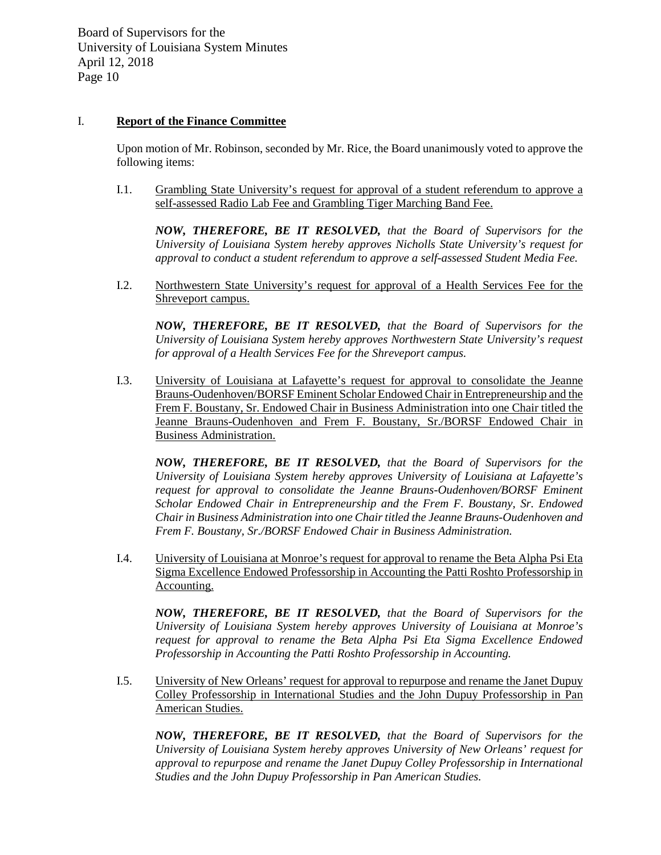## I. **Report of the Finance Committee**

Upon motion of Mr. Robinson, seconded by Mr. Rice, the Board unanimously voted to approve the following items:

I.1. Grambling State University's request for approval of a student referendum to approve a self-assessed Radio Lab Fee and Grambling Tiger Marching Band Fee.

*NOW, THEREFORE, BE IT RESOLVED, that the Board of Supervisors for the University of Louisiana System hereby approves Nicholls State University's request for approval to conduct a student referendum to approve a self-assessed Student Media Fee.* 

I.2. Northwestern State University's request for approval of a Health Services Fee for the Shreveport campus.

*NOW, THEREFORE, BE IT RESOLVED, that the Board of Supervisors for the University of Louisiana System hereby approves Northwestern State University's request for approval of a Health Services Fee for the Shreveport campus.* 

I.3. University of Louisiana at Lafayette's request for approval to consolidate the Jeanne Brauns-Oudenhoven/BORSF Eminent Scholar Endowed Chair in Entrepreneurship and the Frem F. Boustany, Sr. Endowed Chair in Business Administration into one Chair titled the Jeanne Brauns-Oudenhoven and Frem F. Boustany, Sr./BORSF Endowed Chair in Business Administration.

*NOW, THEREFORE, BE IT RESOLVED, that the Board of Supervisors for the University of Louisiana System hereby approves University of Louisiana at Lafayette's request for approval to consolidate the Jeanne Brauns-Oudenhoven/BORSF Eminent Scholar Endowed Chair in Entrepreneurship and the Frem F. Boustany, Sr. Endowed Chair in Business Administration into one Chair titled the Jeanne Brauns-Oudenhoven and Frem F. Boustany, Sr./BORSF Endowed Chair in Business Administration.* 

I.4. University of Louisiana at Monroe's request for approval to rename the Beta Alpha Psi Eta Sigma Excellence Endowed Professorship in Accounting the Patti Roshto Professorship in Accounting.

*NOW, THEREFORE, BE IT RESOLVED, that the Board of Supervisors for the University of Louisiana System hereby approves University of Louisiana at Monroe's request for approval to rename the Beta Alpha Psi Eta Sigma Excellence Endowed Professorship in Accounting the Patti Roshto Professorship in Accounting.* 

I.5. University of New Orleans' request for approval to repurpose and rename the Janet Dupuy Colley Professorship in International Studies and the John Dupuy Professorship in Pan American Studies.

*NOW, THEREFORE, BE IT RESOLVED, that the Board of Supervisors for the University of Louisiana System hereby approves University of New Orleans' request for approval to repurpose and rename the Janet Dupuy Colley Professorship in International Studies and the John Dupuy Professorship in Pan American Studies.*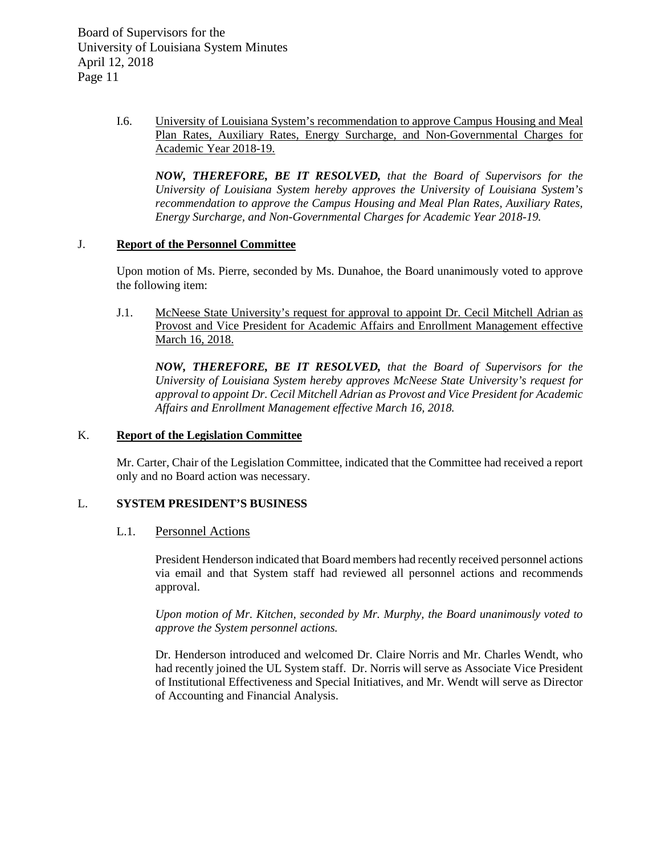> I.6. University of Louisiana System's recommendation to approve Campus Housing and Meal Plan Rates, Auxiliary Rates, Energy Surcharge, and Non-Governmental Charges for Academic Year 2018-19.

*NOW, THEREFORE, BE IT RESOLVED, that the Board of Supervisors for the University of Louisiana System hereby approves the University of Louisiana System's recommendation to approve the Campus Housing and Meal Plan Rates, Auxiliary Rates, Energy Surcharge, and Non-Governmental Charges for Academic Year 2018-19.* 

# J. **Report of the Personnel Committee**

Upon motion of Ms. Pierre, seconded by Ms. Dunahoe, the Board unanimously voted to approve the following item:

J.1. McNeese State University's request for approval to appoint Dr. Cecil Mitchell Adrian as Provost and Vice President for Academic Affairs and Enrollment Management effective March 16, 2018.

*NOW, THEREFORE, BE IT RESOLVED, that the Board of Supervisors for the University of Louisiana System hereby approves McNeese State University's request for approval to appoint Dr. Cecil Mitchell Adrian as Provost and Vice President for Academic Affairs and Enrollment Management effective March 16, 2018.*

# K. **Report of the Legislation Committee**

Mr. Carter, Chair of the Legislation Committee, indicated that the Committee had received a report only and no Board action was necessary.

# L. **SYSTEM PRESIDENT'S BUSINESS**

# L.1. Personnel Actions

President Henderson indicated that Board members had recently received personnel actions via email and that System staff had reviewed all personnel actions and recommends approval.

*Upon motion of Mr. Kitchen, seconded by Mr. Murphy, the Board unanimously voted to approve the System personnel actions.*

Dr. Henderson introduced and welcomed Dr. Claire Norris and Mr. Charles Wendt, who had recently joined the UL System staff. Dr. Norris will serve as Associate Vice President of Institutional Effectiveness and Special Initiatives, and Mr. Wendt will serve as Director of Accounting and Financial Analysis.